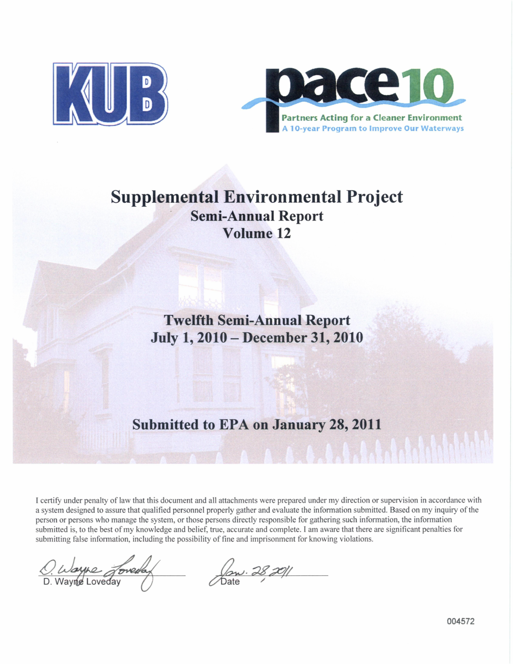



# **Supplemental Environmental Project Semi-Annual Report Volume 12**

**Twelfth Semi-Annual Report July 1, 2010- December 31, 2010**

# **Submitted to EPA on January 28, 2011**

I certify under penalty of law that this document and all attachments were prepared under my direction or supervision in accordance with a system designed to assure that qualified personnel properly gather and evaluate the information submitted. Based on my inquiry of the person or persons who manage the system, or those persons directly responsible for gathering such information, the information submitted is, to the best of my knowledge and belief, true, accurate and complete. I am aware that there are significant penalties for submitting false information, including the possibility of fine and imprisonment for knowing violations.

 $\frac{Q}{D}$ . Wayne Joveday (by 28,20)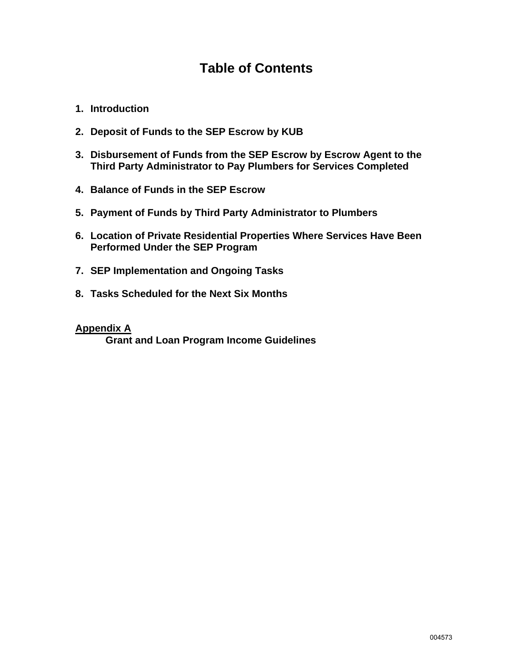# **Table of Contents**

- **1. Introduction**
- **2. Deposit of Funds to the SEP Escrow by KUB**
- **3. Disbursement of Funds from the SEP Escrow by Escrow Agent to the Third Party Administrator to Pay Plumbers for Services Completed**
- **4. Balance of Funds in the SEP Escrow**
- **5. Payment of Funds by Third Party Administrator to Plumbers**
- **6. Location of Private Residential Properties Where Services Have Been Performed Under the SEP Program**
- **7. SEP Implementation and Ongoing Tasks**
- **8. Tasks Scheduled for the Next Six Months**

### **Appendix A**

 **Grant and Loan Program Income Guidelines**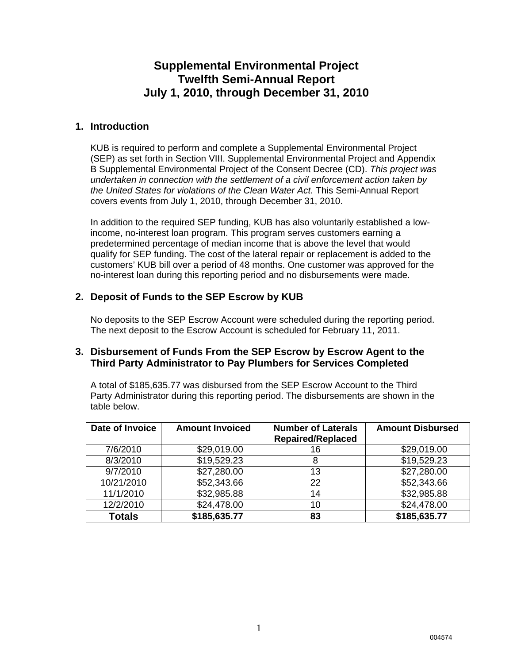# **Supplemental Environmental Project Twelfth Semi-Annual Report July 1, 2010, through December 31, 2010**

### **1. Introduction**

KUB is required to perform and complete a Supplemental Environmental Project (SEP) as set forth in Section VIII. Supplemental Environmental Project and Appendix B Supplemental Environmental Project of the Consent Decree (CD). *This project was undertaken in connection with the settlement of a civil enforcement action taken by the United States for violations of the Clean Water Act.* This Semi-Annual Report covers events from July 1, 2010, through December 31, 2010.

In addition to the required SEP funding, KUB has also voluntarily established a lowincome, no-interest loan program. This program serves customers earning a predetermined percentage of median income that is above the level that would qualify for SEP funding. The cost of the lateral repair or replacement is added to the customers' KUB bill over a period of 48 months. One customer was approved for the no-interest loan during this reporting period and no disbursements were made.

## **2. Deposit of Funds to the SEP Escrow by KUB**

No deposits to the SEP Escrow Account were scheduled during the reporting period. The next deposit to the Escrow Account is scheduled for February 11, 2011.

### **3. Disbursement of Funds From the SEP Escrow by Escrow Agent to the Third Party Administrator to Pay Plumbers for Services Completed**

A total of \$185,635.77 was disbursed from the SEP Escrow Account to the Third Party Administrator during this reporting period. The disbursements are shown in the table below.

| Date of Invoice | <b>Amount Invoiced</b> | <b>Number of Laterals</b><br><b>Repaired/Replaced</b> | <b>Amount Disbursed</b> |
|-----------------|------------------------|-------------------------------------------------------|-------------------------|
| 7/6/2010        | \$29,019.00            | 16                                                    | \$29,019.00             |
| 8/3/2010        | \$19,529.23            | 8                                                     | \$19,529.23             |
| 9/7/2010        | \$27,280.00            | 13                                                    | \$27,280.00             |
| 10/21/2010      | \$52,343.66            | 22                                                    | \$52,343.66             |
| 11/1/2010       | \$32,985.88            | 14                                                    | \$32,985.88             |
| 12/2/2010       | \$24,478.00            | 10                                                    | \$24,478.00             |
| <b>Totals</b>   | \$185,635.77           | 83                                                    | \$185,635.77            |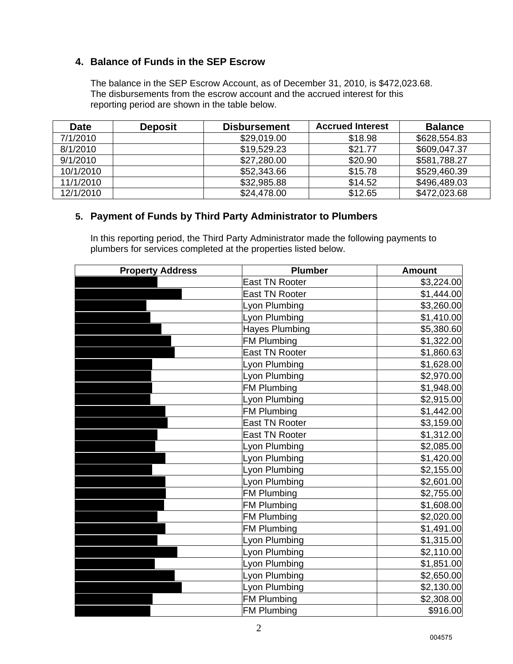## **4. Balance of Funds in the SEP Escrow**

The balance in the SEP Escrow Account, as of December 31, 2010, is \$472,023.68. The disbursements from the escrow account and the accrued interest for this reporting period are shown in the table below.

| <b>Date</b> | <b>Deposit</b> | <b>Disbursement</b> | <b>Accrued Interest</b> | <b>Balance</b> |
|-------------|----------------|---------------------|-------------------------|----------------|
| 7/1/2010    |                | \$29,019.00         | \$18.98                 | \$628,554.83   |
| 8/1/2010    |                | \$19,529.23         | \$21.77                 | \$609,047.37   |
| 9/1/2010    |                | \$27,280.00         | \$20.90                 | \$581,788.27   |
| 10/1/2010   |                | \$52,343.66         | \$15.78                 | \$529,460.39   |
| 11/1/2010   |                | \$32,985.88         | \$14.52                 | \$496,489.03   |
| 12/1/2010   |                | \$24,478.00         | \$12.65                 | \$472,023.68   |

### **5. Payment of Funds by Third Party Administrator to Plumbers**

In this reporting period, the Third Party Administrator made the following payments to plumbers for services completed at the properties listed below.

| <b>Property Address</b> | <b>Plumber</b>        | <b>Amount</b> |
|-------------------------|-----------------------|---------------|
|                         | <b>East TN Rooter</b> | \$3,224.00    |
|                         | <b>East TN Rooter</b> | \$1,444.00    |
|                         | Lyon Plumbing         | \$3,260.00    |
|                         | Lyon Plumbing         | \$1,410.00    |
|                         | <b>Hayes Plumbing</b> | \$5,380.60    |
|                         | <b>FM Plumbing</b>    | \$1,322.00    |
|                         | <b>East TN Rooter</b> | \$1,860.63    |
|                         | Lyon Plumbing         | \$1,628.00    |
|                         | Lyon Plumbing         | \$2,970.00    |
|                         | <b>FM Plumbing</b>    | \$1,948.00    |
|                         | Lyon Plumbing         | \$2,915.00    |
|                         | <b>FM Plumbing</b>    | \$1,442.00    |
|                         | <b>East TN Rooter</b> | \$3,159.00    |
|                         | <b>East TN Rooter</b> | \$1,312.00    |
|                         | Lyon Plumbing         | \$2,085.00    |
|                         | Lyon Plumbing         | \$1,420.00    |
|                         | Lyon Plumbing         | \$2,155.00    |
|                         | Lyon Plumbing         | \$2,601.00    |
|                         | <b>FM Plumbing</b>    | \$2,755.00    |
|                         | <b>FM Plumbing</b>    | \$1,608.00    |
|                         | <b>FM Plumbing</b>    | \$2,020.00    |
|                         | <b>FM Plumbing</b>    | \$1,491.00    |
|                         | Lyon Plumbing         | \$1,315.00    |
|                         | Lyon Plumbing         | \$2,110.00    |
|                         | Lyon Plumbing         | \$1,851.00    |
|                         | Lyon Plumbing         | \$2,650.00    |
|                         | Lyon Plumbing         | \$2,130.00    |
|                         | <b>FM Plumbing</b>    | \$2,308.00    |
|                         | <b>FM Plumbing</b>    | \$916.00      |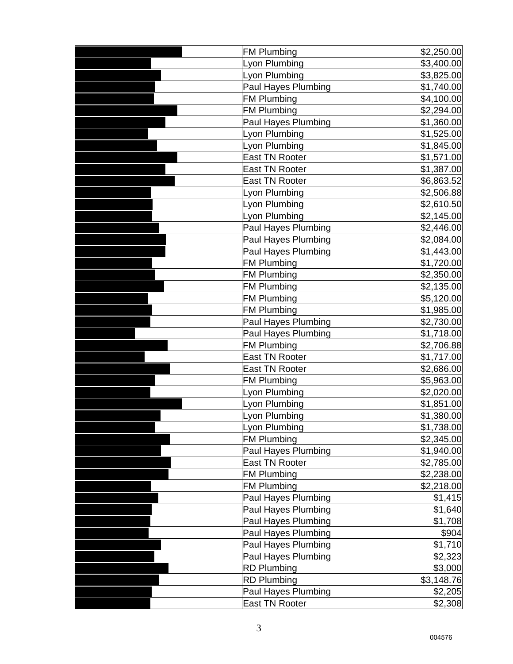| <b>FM Plumbing</b>         | \$2,250.00 |
|----------------------------|------------|
| Lyon Plumbing              | \$3,400.00 |
| Lyon Plumbing              | \$3,825.00 |
| <b>Paul Hayes Plumbing</b> | \$1,740.00 |
| <b>FM Plumbing</b>         | \$4,100.00 |
| <b>FM Plumbing</b>         | \$2,294.00 |
| Paul Hayes Plumbing        | \$1,360.00 |
| Lyon Plumbing              | \$1,525.00 |
| Lyon Plumbing              | \$1,845.00 |
| <b>East TN Rooter</b>      | \$1,571.00 |
| <b>East TN Rooter</b>      | \$1,387.00 |
| <b>East TN Rooter</b>      | \$6,863.52 |
| Lyon Plumbing              | \$2,506.88 |
| Lyon Plumbing              | \$2,610.50 |
| Lyon Plumbing              | \$2,145.00 |
| Paul Hayes Plumbing        | \$2,446.00 |
| Paul Hayes Plumbing        | \$2,084.00 |
| Paul Hayes Plumbing        | \$1,443.00 |
| <b>FM Plumbing</b>         | \$1,720.00 |
| <b>FM Plumbing</b>         | \$2,350.00 |
| <b>FM Plumbing</b>         | \$2,135.00 |
| <b>FM Plumbing</b>         | \$5,120.00 |
| <b>FM Plumbing</b>         | \$1,985.00 |
| Paul Hayes Plumbing        | \$2,730.00 |
| Paul Hayes Plumbing        | \$1,718.00 |
| <b>FM Plumbing</b>         | \$2,706.88 |
| <b>East TN Rooter</b>      | \$1,717.00 |
| <b>East TN Rooter</b>      | \$2,686.00 |
| <b>FM Plumbing</b>         | \$5,963.00 |
| Lyon Plumbing              | \$2,020.00 |
| Lyon Plumbing              | \$1,851.00 |
| Lyon Plumbing              | \$1,380.00 |
| Lyon Plumbing              | \$1,738.00 |
| <b>FM Plumbing</b>         | \$2,345.00 |
| Paul Hayes Plumbing        | \$1,940.00 |
| <b>East TN Rooter</b>      | \$2,785.00 |
| <b>FM Plumbing</b>         | \$2,238.00 |
| <b>FM Plumbing</b>         | \$2,218.00 |
| Paul Hayes Plumbing        | \$1,415    |
| <b>Paul Hayes Plumbing</b> | \$1,640    |
| Paul Hayes Plumbing        | \$1,708    |
| Paul Hayes Plumbing        | \$904      |
| Paul Hayes Plumbing        | \$1,710    |
| Paul Hayes Plumbing        | \$2,323    |
| <b>RD Plumbing</b>         | \$3,000    |
| <b>RD Plumbing</b>         | \$3,148.76 |
| Paul Hayes Plumbing        | \$2,205    |
| <b>East TN Rooter</b>      | \$2,308    |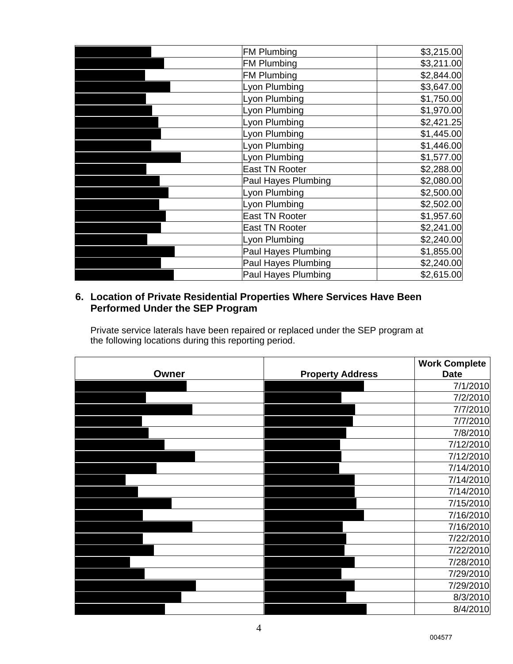| <b>FM Plumbing</b>    | \$3,215.00 |
|-----------------------|------------|
| <b>FM Plumbing</b>    | \$3,211.00 |
| <b>FM Plumbing</b>    | \$2,844.00 |
| Lyon Plumbing         | \$3,647.00 |
| Lyon Plumbing         | \$1,750.00 |
| Lyon Plumbing         | \$1,970.00 |
| Lyon Plumbing         | \$2,421.25 |
| Lyon Plumbing         | \$1,445.00 |
| Lyon Plumbing         | \$1,446.00 |
| Lyon Plumbing         | \$1,577.00 |
| <b>East TN Rooter</b> | \$2,288.00 |
| Paul Hayes Plumbing   | \$2,080.00 |
| Lyon Plumbing         | \$2,500.00 |
| Lyon Plumbing         | \$2,502.00 |
| <b>East TN Rooter</b> | \$1,957.60 |
| <b>East TN Rooter</b> | \$2,241.00 |
| Lyon Plumbing         | \$2,240.00 |
| Paul Hayes Plumbing   | \$1,855.00 |
| Paul Hayes Plumbing   | \$2,240.00 |
| Paul Hayes Plumbing   | \$2,615.00 |

## **6. Location of Private Residential Properties Where Services Have Been Performed Under the SEP Program**

**Owner Communist Property Address Work Complete Date**  John R. or Mary Jane Allen 1211  $\sim$  7/1/2010 Jamesena Saffell 1609 Hazen Street 7/2/2010  $\,$ Terry B. or  $\sim$   $\sim$   $\sim$  7/7/2010  $\overline{7/7/2010}$ Wendee D. Jones 1128  $\sim$  7/8/2010  $\begin{array}{|c|c|c|c|c|}\hline \text{12/2010} \end{array}$ Russell T. or Minnie A. Jones 1806 Hazen Street 7/12/2010  $\begin{array}{|c|c|c|c|c|}\hline \text{1.5}\qquad & \text{2.7}\qquad\text{2.7}\qquad\text{2.7}\qquad\text{2.7}\qquad\text{2.7}\qquad\text{2.7}\qquad\text{2.7}\qquad\text{2.7}\qquad\text{2.7}\qquad\text{2.7}\qquad\text{2.7}\qquad\text{2.7}\qquad\text{2.7}\qquad\text{2.7}\qquad\text{2.7}\qquad\text{2.7}\qquad\text{2.7}\qquad\text{2.7}\qquad\text{2.7}\qquad\text{2.7}\qquad\text{2.7}\qquad\text$ Mary N. Lee 1659 Laurans Avenue 1 $\sim$  7/14/2010 Ruby J. Woods 1646 Laurans Avenue 7/14/2010 Kathleen Gaiter Lowery 121 Morningside Drive 7/15/2010 Material Letters and the contract  $\sim$  1235 Minnesota Avenue 7/16/2010 Joshua B. or Brook A. Wicks 4805 Holston Drive  $\sim$   $7/16/2010$ 7/22/2010 Janice M. Tarwater 4403  $\sim$  7/22/2010 Edith P. Love 1903 Laurans Avenue 7/28/2010  $\begin{array}{|c|c|c|c|c|}\hline \text{D} & \text{D} & \text{D} & \text{D} & \text{D} & \text{D} & \text{D} & \text{D} & \text{D} & \text{D} & \text{D} & \text{D} & \text{D} & \text{D} & \text{D} & \text{D} & \text{D} & \text{D} & \text{D} & \text{D} & \text{D} & \text{D} & \text{D} & \text{D} & \text{D} & \text{D} & \text{D} & \text{D} & \text{D} & \text{D} & \text{D} & \text{D} & \text{D} & \text{$ Bonnie Martin or Martin or Martin or Martin or Mar $7/29/2010$ Sarah Lee Mills Lawrence 1230  $\sim$  8/3/2010 L. E. or Lillie H. Sharp 5409 Shannondale Road  $\sim$  8/4/2010

Private service laterals have been repaired or replaced under the SEP program at the following locations during this reporting period.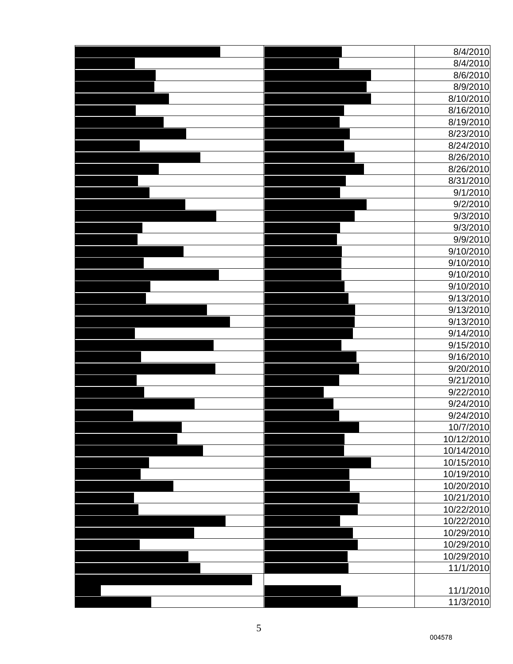| 8/4/2010   |
|------------|
| 8/4/2010   |
| 8/6/2010   |
| 8/9/2010   |
| 8/10/2010  |
| 8/16/2010  |
| 8/19/2010  |
| 8/23/2010  |
| 8/24/2010  |
| 8/26/2010  |
| 8/26/2010  |
| 8/31/2010  |
| 9/1/2010   |
| 9/2/2010   |
| 9/3/2010   |
| 9/3/2010   |
| 9/9/2010   |
|            |
| 9/10/2010  |
| 9/10/2010  |
| 9/10/2010  |
| 9/10/2010  |
| 9/13/2010  |
| 9/13/2010  |
| 9/13/2010  |
| 9/14/2010  |
| 9/15/2010  |
| 9/16/2010  |
| 9/20/2010  |
| 9/21/2010  |
| 9/22/2010  |
| 9/24/2010  |
| 9/24/2010  |
| 10/7/2010  |
| 10/12/2010 |
| 10/14/2010 |
| 10/15/2010 |
| 10/19/2010 |
| 10/20/2010 |
| 10/21/2010 |
| 10/22/2010 |
| 10/22/2010 |
| 10/29/2010 |
| 10/29/2010 |
| 10/29/2010 |
| 11/1/2010  |
|            |
| 11/1/2010  |
| 11/3/2010  |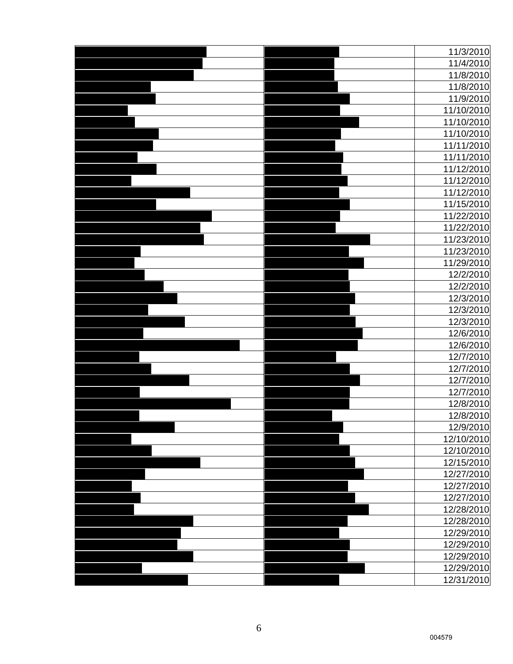|  | 11/3/2010  |
|--|------------|
|  | 11/4/2010  |
|  | 11/8/2010  |
|  | 11/8/2010  |
|  | 11/9/2010  |
|  | 11/10/2010 |
|  | 11/10/2010 |
|  | 11/10/2010 |
|  | 11/11/2010 |
|  | 11/11/2010 |
|  | 11/12/2010 |
|  | 11/12/2010 |
|  | 11/12/2010 |
|  | 11/15/2010 |
|  | 11/22/2010 |
|  | 11/22/2010 |
|  | 11/23/2010 |
|  | 11/23/2010 |
|  | 11/29/2010 |
|  | 12/2/2010  |
|  | 12/2/2010  |
|  | 12/3/2010  |
|  | 12/3/2010  |
|  | 12/3/2010  |
|  | 12/6/2010  |
|  | 12/6/2010  |
|  | 12/7/2010  |
|  | 12/7/2010  |
|  | 12/7/2010  |
|  | 12/7/2010  |
|  | 12/8/2010  |
|  | 12/8/2010  |
|  | 12/9/2010  |
|  | 12/10/2010 |
|  | 12/10/2010 |
|  | 12/15/2010 |
|  | 12/27/2010 |
|  | 12/27/2010 |
|  | 12/27/2010 |
|  | 12/28/2010 |
|  | 12/28/2010 |
|  | 12/29/2010 |
|  | 12/29/2010 |
|  | 12/29/2010 |
|  | 12/29/2010 |
|  | 12/31/2010 |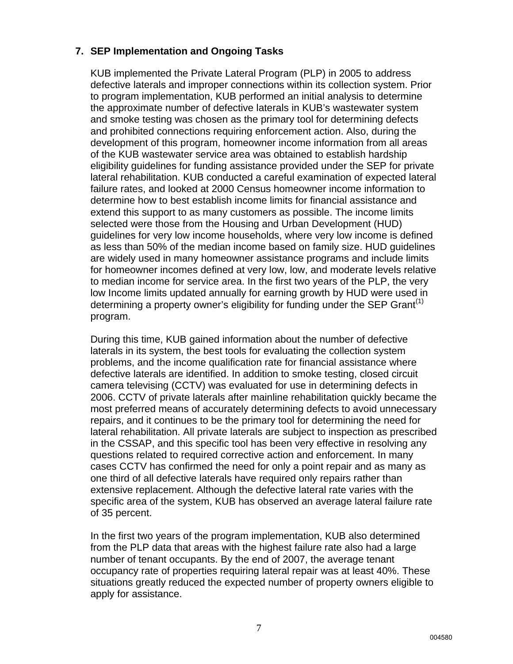# **7. SEP Implementation and Ongoing Tasks**

KUB implemented the Private Lateral Program (PLP) in 2005 to address defective laterals and improper connections within its collection system. Prior to program implementation, KUB performed an initial analysis to determine the approximate number of defective laterals in KUB's wastewater system and smoke testing was chosen as the primary tool for determining defects and prohibited connections requiring enforcement action. Also, during the development of this program, homeowner income information from all areas of the KUB wastewater service area was obtained to establish hardship eligibility guidelines for funding assistance provided under the SEP for private lateral rehabilitation. KUB conducted a careful examination of expected lateral failure rates, and looked at 2000 Census homeowner income information to determine how to best establish income limits for financial assistance and extend this support to as many customers as possible. The income limits selected were those from the Housing and Urban Development (HUD) guidelines for very low income households, where very low income is defined as less than 50% of the median income based on family size. HUD guidelines are widely used in many homeowner assistance programs and include limits for homeowner incomes defined at very low, low, and moderate levels relative to median income for service area. In the first two years of the PLP, the very low Income limits updated annually for earning growth by HUD were used in determining a property owner's eligibility for funding under the SEP Grant<sup>(1)</sup> program.

During this time, KUB gained information about the number of defective laterals in its system, the best tools for evaluating the collection system problems, and the income qualification rate for financial assistance where defective laterals are identified. In addition to smoke testing, closed circuit camera televising (CCTV) was evaluated for use in determining defects in 2006. CCTV of private laterals after mainline rehabilitation quickly became the most preferred means of accurately determining defects to avoid unnecessary repairs, and it continues to be the primary tool for determining the need for lateral rehabilitation. All private laterals are subject to inspection as prescribed in the CSSAP, and this specific tool has been very effective in resolving any questions related to required corrective action and enforcement. In many cases CCTV has confirmed the need for only a point repair and as many as one third of all defective laterals have required only repairs rather than extensive replacement. Although the defective lateral rate varies with the specific area of the system, KUB has observed an average lateral failure rate of 35 percent.

In the first two years of the program implementation, KUB also determined from the PLP data that areas with the highest failure rate also had a large number of tenant occupants. By the end of 2007, the average tenant occupancy rate of properties requiring lateral repair was at least 40%. These situations greatly reduced the expected number of property owners eligible to apply for assistance.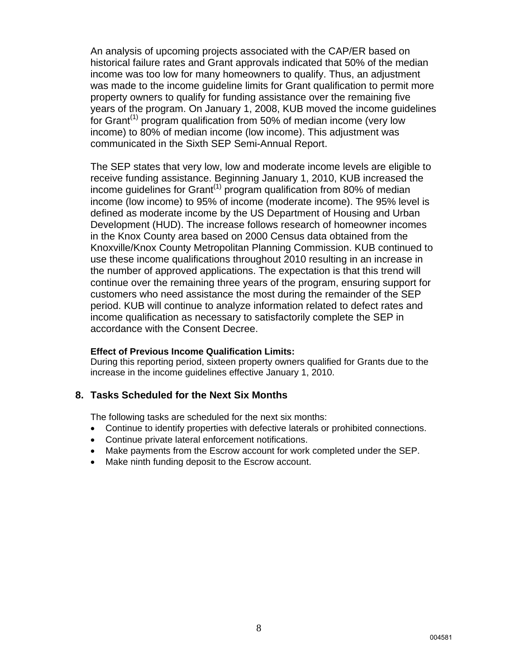An analysis of upcoming projects associated with the CAP/ER based on historical failure rates and Grant approvals indicated that 50% of the median income was too low for many homeowners to qualify. Thus, an adjustment was made to the income guideline limits for Grant qualification to permit more property owners to qualify for funding assistance over the remaining five years of the program. On January 1, 2008, KUB moved the income guidelines for Grant<sup>(1)</sup> program qualification from 50% of median income (very low income) to 80% of median income (low income). This adjustment was communicated in the Sixth SEP Semi-Annual Report.

The SEP states that very low, low and moderate income levels are eligible to receive funding assistance. Beginning January 1, 2010, KUB increased the income guidelines for Grant<sup> $(1)$ </sup> program qualification from 80% of median income (low income) to 95% of income (moderate income). The 95% level is defined as moderate income by the US Department of Housing and Urban Development (HUD). The increase follows research of homeowner incomes in the Knox County area based on 2000 Census data obtained from the Knoxville/Knox County Metropolitan Planning Commission. KUB continued to use these income qualifications throughout 2010 resulting in an increase in the number of approved applications. The expectation is that this trend will continue over the remaining three years of the program, ensuring support for customers who need assistance the most during the remainder of the SEP period. KUB will continue to analyze information related to defect rates and income qualification as necessary to satisfactorily complete the SEP in accordance with the Consent Decree.

#### **Effect of Previous Income Qualification Limits:**

During this reporting period, sixteen property owners qualified for Grants due to the increase in the income guidelines effective January 1, 2010.

#### **8. Tasks Scheduled for the Next Six Months**

The following tasks are scheduled for the next six months:

- Continue to identify properties with defective laterals or prohibited connections.
- Continue private lateral enforcement notifications.
- Make payments from the Escrow account for work completed under the SEP.
- Make ninth funding deposit to the Escrow account.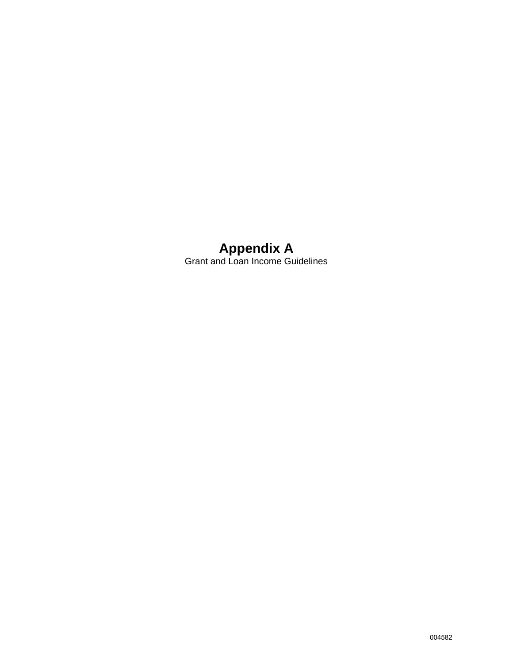# **Appendix A**  Grant and Loan Income Guidelines